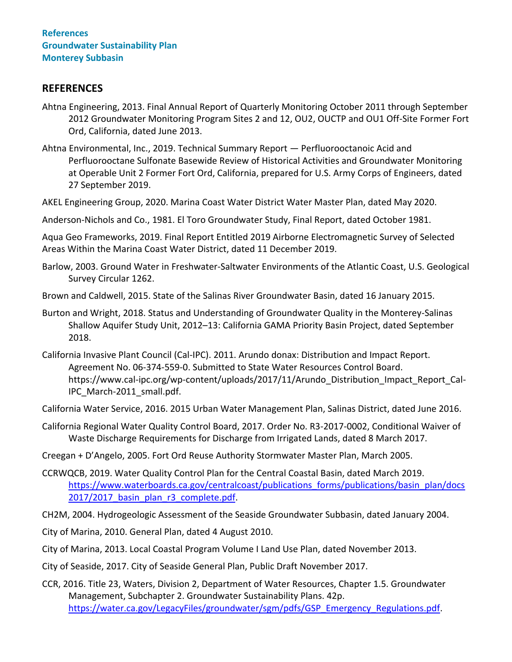# **REFERENCES**

- Ahtna Engineering, 2013. Final Annual Report of Quarterly Monitoring October 2011 through September 2012 Groundwater Monitoring Program Sites 2 and 12, OU2, OUCTP and OU1 Off-Site Former Fort Ord, California, dated June 2013.
- Ahtna Environmental, Inc., 2019. Technical Summary Report Perfluorooctanoic Acid and Perfluorooctane Sulfonate Basewide Review of Historical Activities and Groundwater Monitoring at Operable Unit 2 Former Fort Ord, California, prepared for U.S. Army Corps of Engineers, dated 27 September 2019.
- AKEL Engineering Group, 2020. Marina Coast Water District Water Master Plan, dated May 2020.
- Anderson-Nichols and Co., 1981. El Toro Groundwater Study, Final Report, dated October 1981.

Aqua Geo Frameworks, 2019. Final Report Entitled 2019 Airborne Electromagnetic Survey of Selected Areas Within the Marina Coast Water District, dated 11 December 2019.

- Barlow, 2003. Ground Water in Freshwater-Saltwater Environments of the Atlantic Coast, U.S. Geological Survey Circular 1262.
- Brown and Caldwell, 2015. State of the Salinas River Groundwater Basin, dated 16 January 2015.
- Burton and Wright, 2018. Status and Understanding of Groundwater Quality in the Monterey-Salinas Shallow Aquifer Study Unit, 2012–13: California GAMA Priority Basin Project, dated September 2018.
- California Invasive Plant Council (Cal-IPC). 2011. Arundo donax: Distribution and Impact Report. Agreement No. 06-374-559-0. Submitted to State Water Resources Control Board. https://www.cal-ipc.org/wp-content/uploads/2017/11/Arundo\_Distribution\_Impact\_Report\_Cal-IPC\_March-2011\_small.pdf.
- California Water Service, 2016. 2015 Urban Water Management Plan, Salinas District, dated June 2016.
- California Regional Water Quality Control Board, 2017. Order No. R3-2017-0002, Conditional Waiver of Waste Discharge Requirements for Discharge from Irrigated Lands, dated 8 March 2017.
- Creegan + D'Angelo, 2005. Fort Ord Reuse Authority Stormwater Master Plan, March 2005.
- CCRWQCB, 2019. Water Quality Control Plan for the Central Coastal Basin, dated March 2019. https://www.waterboards.ca.gov/centralcoast/publications forms/publications/basin\_plan/docs 2017/2017 basin plan r3 complete.pdf.
- CH2M, 2004. Hydrogeologic Assessment of the Seaside Groundwater Subbasin, dated January 2004.
- City of Marina, 2010. General Plan, dated 4 August 2010.
- City of Marina, 2013. Local Coastal Program Volume I Land Use Plan, dated November 2013.
- City of Seaside, 2017. City of Seaside General Plan, Public Draft November 2017.
- CCR, 2016. Title 23, Waters, Division 2, Department of Water Resources, Chapter 1.5. Groundwater Management, Subchapter 2. Groundwater Sustainability Plans. 42p. [https://water.ca.gov/LegacyFiles/groundwater/sgm/pdfs/GSP\\_Emergency\\_Regulations.pdf.](https://water.ca.gov/LegacyFiles/groundwater/sgm/pdfs/GSP_Emergency_Regulations.pdf)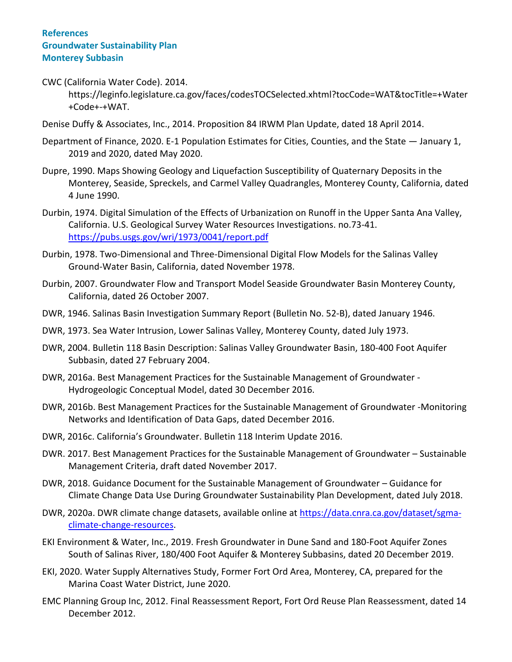CWC (California Water Code). 2014.

https://leginfo.legislature.ca.gov/faces/codesTOCSelected.xhtml?tocCode=WAT&tocTitle=+Water +Code+-+WAT.

- Denise Duffy & Associates, Inc., 2014. Proposition 84 IRWM Plan Update, dated 18 April 2014.
- Department of Finance, 2020. E-1 Population Estimates for Cities, Counties, and the State January 1, 2019 and 2020, dated May 2020.
- Dupre, 1990. Maps Showing Geology and Liquefaction Susceptibility of Quaternary Deposits in the Monterey, Seaside, Spreckels, and Carmel Valley Quadrangles, Monterey County, California, dated 4 June 1990.
- Durbin, 1974. Digital Simulation of the Effects of Urbanization on Runoff in the Upper Santa Ana Valley, California. U.S. Geological Survey Water Resources Investigations. no.73-41. <https://pubs.usgs.gov/wri/1973/0041/report.pdf>
- Durbin, 1978. Two-Dimensional and Three-Dimensional Digital Flow Models for the Salinas Valley Ground-Water Basin, California, dated November 1978.
- Durbin, 2007. Groundwater Flow and Transport Model Seaside Groundwater Basin Monterey County, California, dated 26 October 2007.
- DWR, 1946. Salinas Basin Investigation Summary Report (Bulletin No. 52-B), dated January 1946.
- DWR, 1973. Sea Water Intrusion, Lower Salinas Valley, Monterey County, dated July 1973.
- DWR, 2004. Bulletin 118 Basin Description: Salinas Valley Groundwater Basin, 180-400 Foot Aquifer Subbasin, dated 27 February 2004.
- DWR, 2016a. Best Management Practices for the Sustainable Management of Groundwater Hydrogeologic Conceptual Model, dated 30 December 2016.
- DWR, 2016b. Best Management Practices for the Sustainable Management of Groundwater -Monitoring Networks and Identification of Data Gaps, dated December 2016.
- DWR, 2016c. California's Groundwater. Bulletin 118 Interim Update 2016.
- DWR. 2017. Best Management Practices for the Sustainable Management of Groundwater Sustainable Management Criteria, draft dated November 2017.
- DWR, 2018. Guidance Document for the Sustainable Management of Groundwater Guidance for Climate Change Data Use During Groundwater Sustainability Plan Development, dated July 2018.
- DWR, 2020a. DWR climate change datasets, available online at [https://data.cnra.ca.gov/dataset/sgma](https://data.cnra.ca.gov/dataset/sgma-climate-change-resources)[climate-change-resources.](https://data.cnra.ca.gov/dataset/sgma-climate-change-resources)
- EKI Environment & Water, Inc., 2019. Fresh Groundwater in Dune Sand and 180-Foot Aquifer Zones South of Salinas River, 180/400 Foot Aquifer & Monterey Subbasins, dated 20 December 2019.
- EKI, 2020. Water Supply Alternatives Study, Former Fort Ord Area, Monterey, CA, prepared for the Marina Coast Water District, June 2020.
- EMC Planning Group Inc, 2012. Final Reassessment Report, Fort Ord Reuse Plan Reassessment, dated 14 December 2012.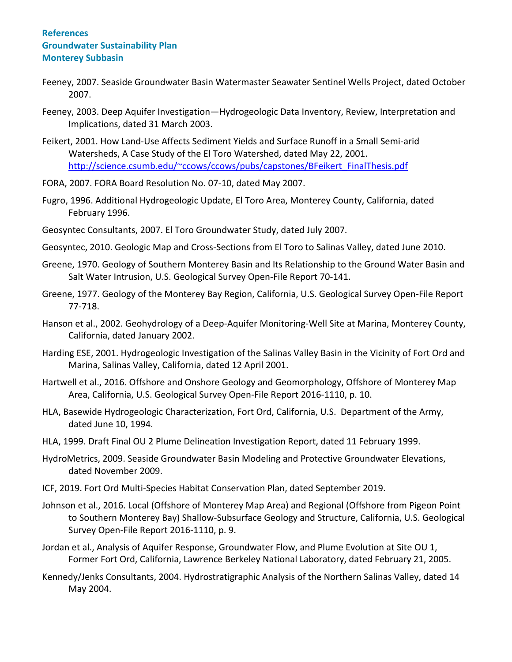- Feeney, 2007. Seaside Groundwater Basin Watermaster Seawater Sentinel Wells Project, dated October 2007.
- Feeney, 2003. Deep Aquifer Investigation—Hydrogeologic Data Inventory, Review, Interpretation and Implications, dated 31 March 2003.
- Feikert, 2001. How Land-Use Affects Sediment Yields and Surface Runoff in a Small Semi-arid Watersheds, A Case Study of the El Toro Watershed, dated May 22, 2001. [http://science.csumb.edu/~ccows/ccows/pubs/capstones/BFeikert\\_FinalThesis.pdf](http://science.csumb.edu/~ccows/ccows/pubs/capstones/BFeikert_FinalThesis.pdf)
- FORA, 2007. FORA Board Resolution No. 07-10, dated May 2007.
- Fugro, 1996. Additional Hydrogeologic Update, El Toro Area, Monterey County, California, dated February 1996.
- Geosyntec Consultants, 2007. El Toro Groundwater Study, dated July 2007.
- Geosyntec, 2010. Geologic Map and Cross-Sections from El Toro to Salinas Valley, dated June 2010.
- Greene, 1970. Geology of Southern Monterey Basin and Its Relationship to the Ground Water Basin and Salt Water Intrusion, U.S. Geological Survey Open-File Report 70-141.
- Greene, 1977. Geology of the Monterey Bay Region, California, U.S. Geological Survey Open-File Report 77-718.
- Hanson et al., 2002. Geohydrology of a Deep-Aquifer Monitoring-Well Site at Marina, Monterey County, California, dated January 2002.
- Harding ESE, 2001. Hydrogeologic Investigation of the Salinas Valley Basin in the Vicinity of Fort Ord and Marina, Salinas Valley, California, dated 12 April 2001.
- Hartwell et al., 2016. Offshore and Onshore Geology and Geomorphology, Offshore of Monterey Map Area, California, U.S. Geological Survey Open-File Report 2016-1110, p. 10.
- HLA, Basewide Hydrogeologic Characterization, Fort Ord, California, U.S. Department of the Army, dated June 10, 1994.
- HLA, 1999. Draft Final OU 2 Plume Delineation Investigation Report, dated 11 February 1999.
- HydroMetrics, 2009. Seaside Groundwater Basin Modeling and Protective Groundwater Elevations, dated November 2009.
- ICF, 2019. Fort Ord Multi-Species Habitat Conservation Plan, dated September 2019.
- Johnson et al., 2016. Local (Offshore of Monterey Map Area) and Regional (Offshore from Pigeon Point to Southern Monterey Bay) Shallow-Subsurface Geology and Structure, California, U.S. Geological Survey Open-File Report 2016-1110, p. 9.
- Jordan et al., Analysis of Aquifer Response, Groundwater Flow, and Plume Evolution at Site OU 1, Former Fort Ord, California, Lawrence Berkeley National Laboratory, dated February 21, 2005.
- Kennedy/Jenks Consultants, 2004. Hydrostratigraphic Analysis of the Northern Salinas Valley, dated 14 May 2004.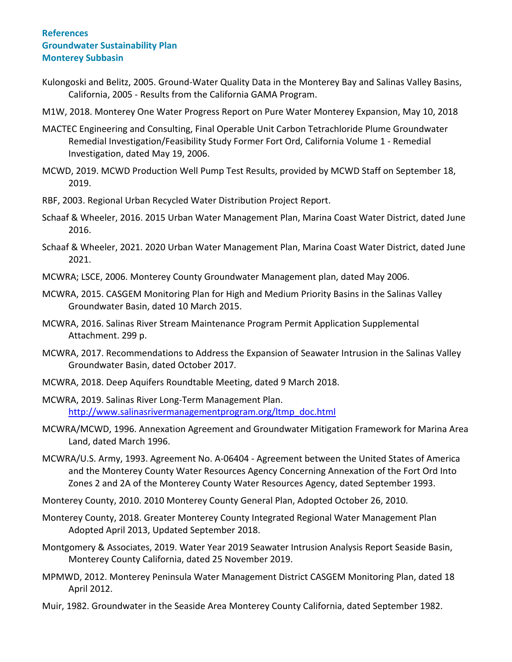- Kulongoski and Belitz, 2005. Ground-Water Quality Data in the Monterey Bay and Salinas Valley Basins, California, 2005 - Results from the California GAMA Program.
- M1W, 2018. Monterey One Water Progress Report on Pure Water Monterey Expansion, May 10, 2018
- MACTEC Engineering and Consulting, Final Operable Unit Carbon Tetrachloride Plume Groundwater Remedial Investigation/Feasibility Study Former Fort Ord, California Volume 1 - Remedial Investigation, dated May 19, 2006.
- MCWD, 2019. MCWD Production Well Pump Test Results, provided by MCWD Staff on September 18, 2019.
- RBF, 2003. Regional Urban Recycled Water Distribution Project Report.
- Schaaf & Wheeler, 2016. 2015 Urban Water Management Plan, Marina Coast Water District, dated June 2016.
- Schaaf & Wheeler, 2021. 2020 Urban Water Management Plan, Marina Coast Water District, dated June 2021.
- MCWRA; LSCE, 2006. Monterey County Groundwater Management plan, dated May 2006.
- MCWRA, 2015. CASGEM Monitoring Plan for High and Medium Priority Basins in the Salinas Valley Groundwater Basin, dated 10 March 2015.
- MCWRA, 2016. Salinas River Stream Maintenance Program Permit Application Supplemental Attachment. 299 p.
- MCWRA, 2017. Recommendations to Address the Expansion of Seawater Intrusion in the Salinas Valley Groundwater Basin, dated October 2017.
- MCWRA, 2018. Deep Aquifers Roundtable Meeting, dated 9 March 2018.
- MCWRA, 2019. Salinas River Long-Term Management Plan. [http://www.salinasrivermanagementprogram.org/ltmp\\_doc.html](http://www.salinasrivermanagementprogram.org/ltmp_doc.html)
- MCWRA/MCWD, 1996. Annexation Agreement and Groundwater Mitigation Framework for Marina Area Land, dated March 1996.
- MCWRA/U.S. Army, 1993. Agreement No. A-06404 Agreement between the United States of America and the Monterey County Water Resources Agency Concerning Annexation of the Fort Ord Into Zones 2 and 2A of the Monterey County Water Resources Agency, dated September 1993.
- Monterey County, 2010. 2010 Monterey County General Plan, Adopted October 26, 2010.
- Monterey County, 2018. Greater Monterey County Integrated Regional Water Management Plan Adopted April 2013, Updated September 2018.
- Montgomery & Associates, 2019. Water Year 2019 Seawater Intrusion Analysis Report Seaside Basin, Monterey County California, dated 25 November 2019.
- MPMWD, 2012. Monterey Peninsula Water Management District CASGEM Monitoring Plan, dated 18 April 2012.
- Muir, 1982. Groundwater in the Seaside Area Monterey County California, dated September 1982.